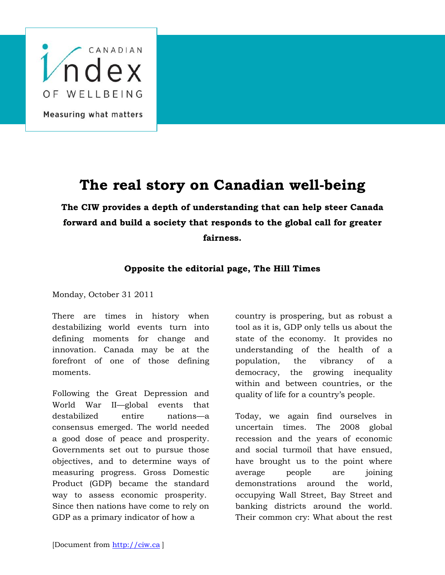

## **The real story on Canadian well-being**

**The CIW provides a depth of understanding that can help steer Canada forward and build a society that responds to the global call for greater fairness.**

## **Opposite the editorial page, The Hill Times**

Monday, October 31 2011

There are times in history when destabilizing world events turn into defining moments for change and innovation. Canada may be at the forefront of one of those defining moments.

Following the Great Depression and World War II—global events that destabilized entire nations—a consensus emerged. The world needed a good dose of peace and prosperity. Governments set out to pursue those objectives, and to determine ways of measuring progress. Gross Domestic Product (GDP) became the standard way to assess economic prosperity. Since then nations have come to rely on GDP as a primary indicator of how a

country is prospering, but as robust a tool as it is, GDP only tells us about the state of the economy. It provides no understanding of the health of a population, the vibrancy of a democracy, the growing inequality within and between countries, or the quality of life for a country's people.

Today, we again find ourselves in uncertain times. The 2008 global recession and the years of economic and social turmoil that have ensued, have brought us to the point where average people are joining demonstrations around the world, occupying Wall Street, Bay Street and banking districts around the world. Their common cry: What about the rest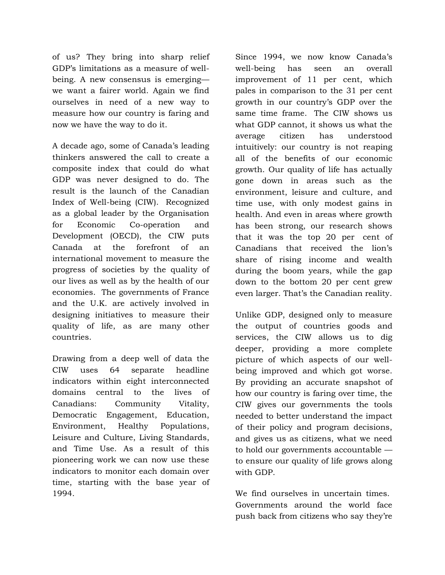of us? They bring into sharp relief GDP's limitations as a measure of wellbeing. A new consensus is emerging we want a fairer world. Again we find ourselves in need of a new way to measure how our country is faring and now we have the way to do it.

A decade ago, some of Canada's leading thinkers answered the call to create a composite index that could do what GDP was never designed to do. The result is the launch of the Canadian Index of Well-being (CIW). Recognized as a global leader by the Organisation for Economic Co-operation and Development (OECD), the CIW puts Canada at the forefront of an international movement to measure the progress of societies by the quality of our lives as well as by the health of our economies. The governments of France and the U.K. are actively involved in designing initiatives to measure their quality of life, as are many other countries.

Drawing from a deep well of data the CIW uses 64 separate headline indicators within eight interconnected domains central to the lives of Canadians: Community Vitality, Democratic Engagement, Education, Environment, Healthy Populations, Leisure and Culture, Living Standards, and Time Use. As a result of this pioneering work we can now use these indicators to monitor each domain over time, starting with the base year of 1994.

Since 1994, we now know Canada's well-being has seen an overall improvement of 11 per cent, which pales in comparison to the 31 per cent growth in our country's GDP over the same time frame. The CIW shows us what GDP cannot, it shows us what the average citizen has understood intuitively: our country is not reaping all of the benefits of our economic growth. Our quality of life has actually gone down in areas such as the environment, leisure and culture, and time use, with only modest gains in health. And even in areas where growth has been strong, our research shows that it was the top 20 per cent of Canadians that received the lion's share of rising income and wealth during the boom years, while the gap down to the bottom 20 per cent grew even larger. That's the Canadian reality.

Unlike GDP, designed only to measure the output of countries goods and services, the CIW allows us to dig deeper, providing a more complete picture of which aspects of our wellbeing improved and which got worse. By providing an accurate snapshot of how our country is faring over time, the CIW gives our governments the tools needed to better understand the impact of their policy and program decisions, and gives us as citizens, what we need to hold our governments accountable to ensure our quality of life grows along with GDP.

We find ourselves in uncertain times. Governments around the world face push back from citizens who say they're